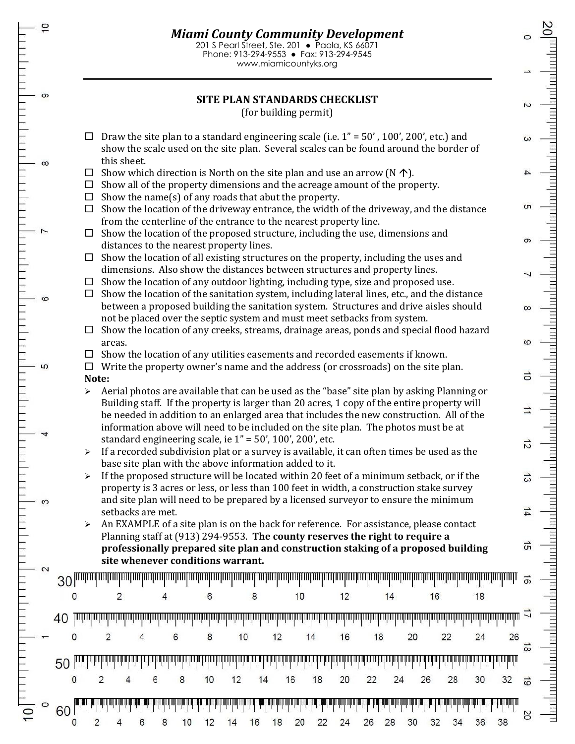